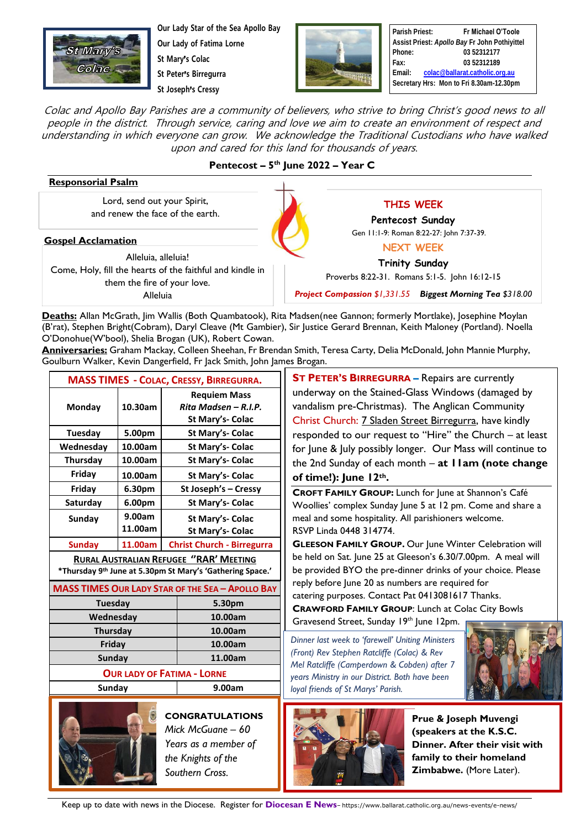

**Our Lady Star of the Sea Apollo Bay Our Lady of Fatima Lorne**

**St Mary**'**s Colac**

**St Peter**'**s Birregurra St Joseph**'**s Cressy**



**Parish Priest: Fr Michael O'Toole Assist Priest:** *Apollo Bay* **Fr John Pothiyittel Phone: 03 52312177 Fax: 03 52312189 Email: [colac@ballarat.catholic.org.au](mailto:colac@ballarat.catholic.org.au) Secretary Hrs: Mon to Fri 8.30am-12.30pm**

Colac and Apollo Bay Parishes are a community of believers, who strive to bring Christ's good news to all people in the district. Through service, caring and love we aim to create an environment of respect and understanding in which everyone can grow. We acknowledge the Traditional Custodians who have walked upon and cared for this land for thousands of years.

## **Pentecost – 5 th June 2022 – Year C**

| <b>Responsorial Psalm</b>                                                                                                                                       |                                                                                            |                                                                                                                          |                                                                   |
|-----------------------------------------------------------------------------------------------------------------------------------------------------------------|--------------------------------------------------------------------------------------------|--------------------------------------------------------------------------------------------------------------------------|-------------------------------------------------------------------|
| Lord, send out your Spirit,<br>and renew the face of the earth.                                                                                                 | <b>THIS WEEK</b>                                                                           |                                                                                                                          |                                                                   |
|                                                                                                                                                                 | Pentecost Sunday                                                                           |                                                                                                                          |                                                                   |
| <b>Gospel Acclamation</b><br>Alleluia, alleluia!<br>Come, Holy, fill the hearts of the faithful and kindle in<br>them the fire of your love.<br><b>Alleluia</b> | Gen 11:1-9: Roman 8:22-27: John 7:37-39.                                                   |                                                                                                                          |                                                                   |
|                                                                                                                                                                 | <b>NEXT WEEK</b><br><b>Trinity Sunday</b><br>Proverbs 8:22-31. Romans 5:1-5. John 16:12-15 |                                                                                                                          |                                                                   |
|                                                                                                                                                                 |                                                                                            |                                                                                                                          | <b>Project Compassion \$1,331.55 Biggest Morning Tea \$318.00</b> |
|                                                                                                                                                                 |                                                                                            |                                                                                                                          |                                                                   |
|                                                                                                                                                                 |                                                                                            | (B'rat), Stephen Bright(Cobram), Daryl Cleave (Mt Gambier), Sir Justice Gerard Brennan, Keith Maloney (Portland). Noella |                                                                   |
| O'Donohue(W'bool), Shelia Brogan (UK), Robert Cowan.                                                                                                            |                                                                                            |                                                                                                                          |                                                                   |

**Anniversaries:** Graham Mackay, Colleen Sheehan, Fr Brendan Smith, Teresa Carty, Delia McDonald, John Mannie Murphy, Goulburn Walker, Kevin Dangerfield, Fr Jack Smith, John James Brogan.

| <b>MASS TIMES - COLAC, CRESSY, BIRREGURRA.</b>                        |         |                                   |                  |  |  |
|-----------------------------------------------------------------------|---------|-----------------------------------|------------------|--|--|
| <b>Requiem Mass</b>                                                   |         |                                   |                  |  |  |
| Monday                                                                | 10.30am | Rita Madsen - R.I.P.              |                  |  |  |
|                                                                       |         |                                   | St Mary's- Colac |  |  |
| Tuesday                                                               | 5.00pm  | <b>St Mary's- Colac</b>           |                  |  |  |
| Wednesday                                                             | 10.00am | St Mary's- Colac                  |                  |  |  |
| <b>Thursday</b>                                                       | 10.00am | St Mary's- Colac                  |                  |  |  |
| Friday                                                                | 10.00am | St Mary's- Colac                  |                  |  |  |
| Friday                                                                | 6.30pm  | St Joseph's - Cressy              |                  |  |  |
| Saturday                                                              | 6.00pm  | St Mary's- Colac                  |                  |  |  |
| Sunday                                                                | 9.00am  | St Mary's- Colac                  |                  |  |  |
|                                                                       | 11.00am |                                   | St Mary's- Colac |  |  |
| <b>Sunday</b>                                                         | 11.00am | <b>Christ Church - Birregurra</b> |                  |  |  |
| <b>RURAL AUSTRALIAN REFUGEE "RAR' MEETING</b>                         |         |                                   |                  |  |  |
| *Thursday 9 <sup>th</sup> June at 5.30pm St Mary's 'Gathering Space.' |         |                                   |                  |  |  |
| <b>MASS TIMES OUR LADY STAR OF THE SEA - APOLLO BAY</b>               |         |                                   |                  |  |  |
| Tuesday                                                               |         |                                   | 5.30pm           |  |  |
| Wednesday                                                             |         |                                   | 10.00am          |  |  |
| <b>Thursday</b>                                                       |         |                                   | 10.00am          |  |  |
| Friday                                                                |         |                                   | 10.00am          |  |  |
| Sunday                                                                |         |                                   | 11.00am          |  |  |
| <b>OUR LADY OF FATIMA - LORNE</b>                                     |         |                                   |                  |  |  |
| Sunday                                                                |         | 9.00am                            |                  |  |  |



**CONGRATULATIONS** *Mick McGuane – 60 Years as a member of the Knights of the Southern Cross.*

 vandalism pre-Christmas). The Anglican Community **ST PETER'S BIRREGURRA –** Repairs are currently underway on the Stained-Glass Windows (damaged by Christ Church: 7 Sladen Street Birregurra, have kindly responded to our request to "Hire" the Church – at least for June & July possibly longer. Our Mass will continue to the 2nd Sunday of each month – **at 11am (note change of time!): June 12th.**

**CROFT FAMILY GROUP:** Lunch for June at Shannon's Café Woollies' complex Sunday June 5 at 12 pm. Come and share a meal and some hospitality. All parishioners welcome. RSVP Linda 0448 314774.

**GLEESON FAMILY GROUP.** Our June Winter Celebration will be held on Sat. June 25 at Gleeson's 6.30/7.00pm. A meal will be provided BYO the pre-dinner drinks of your choice. Please reply before June 20 as numbers are required for catering purposes. Contact Pat 0413081617 Thanks.

**CRAWFORD FAMILY GROUP**: Lunch at Colac City Bowls Gravesend Street, Sunday 19th June 12pm.

Dinner last week to 'farewell' Uniting Ministers *(Front) Rev Stephen Ratcliffe (Colac) & Rev Mel Ratcliffe (Camperdown & Cobden) after 7 years Ministry in our District. Both have been loyal friends of St Marys' Parish.*





**Prue & Joseph Muvengi (speakers at the K.S.C. Dinner. After their visit with family to their homeland Zimbabwe.** (More Later).

Keep up to date with news in the Diocese. Register for **Diocesan E News**– https://www.ballarat.catholic.org.au/news-events/e-news/